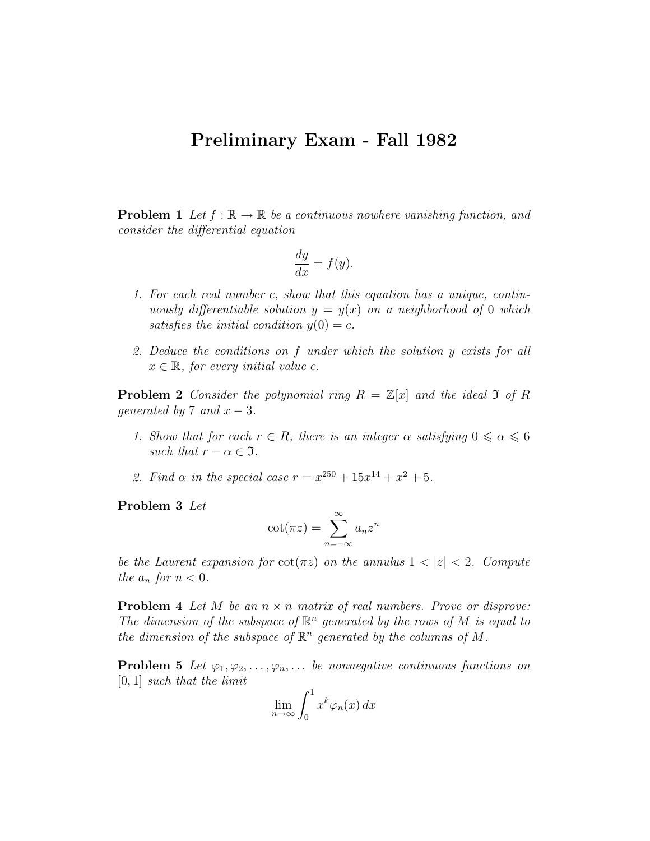## Preliminary Exam - Fall 1982

**Problem 1** Let  $f : \mathbb{R} \to \mathbb{R}$  be a continuous nowhere vanishing function, and consider the differential equation

$$
\frac{dy}{dx} = f(y).
$$

- 1. For each real number c, show that this equation has a unique, continuously differentiable solution  $y = y(x)$  on a neighborhood of 0 which satisfies the initial condition  $y(0) = c$ .
- 2. Deduce the conditions on f under which the solution y exists for all  $x \in \mathbb{R}$ , for every initial value c.

**Problem 2** Consider the polynomial ring  $R = \mathbb{Z}[x]$  and the ideal 3 of R qenerated by 7 and  $x - 3$ .

- 1. Show that for each  $r \in R$ , there is an integer  $\alpha$  satisfying  $0 \le \alpha \le 6$ such that  $r - \alpha \in \mathfrak{I}$ .
- 2. Find  $\alpha$  in the special case  $r = x^{250} + 15x^{14} + x^2 + 5$ .

Problem 3 Let

$$
\cot(\pi z) = \sum_{n=-\infty}^{\infty} a_n z^n
$$

be the Laurent expansion for  $\cot(\pi z)$  on the annulus  $1 < |z| < 2$ . Compute the  $a_n$  for  $n < 0$ .

**Problem 4** Let M be an  $n \times n$  matrix of real numbers. Prove or disprove: The dimension of the subspace of  $\mathbb{R}^n$  generated by the rows of M is equal to the dimension of the subspace of  $\mathbb{R}^n$  generated by the columns of M.

**Problem 5** Let  $\varphi_1, \varphi_2, \ldots, \varphi_n, \ldots$  be nonnegative continuous functions on [0, 1] such that the limit

$$
\lim_{n \to \infty} \int_0^1 x^k \varphi_n(x) \, dx
$$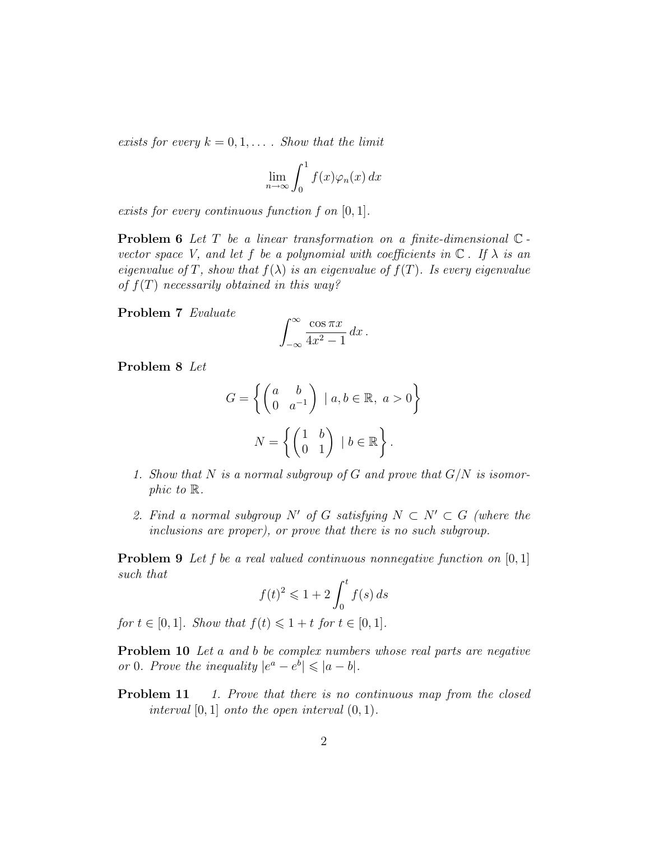exists for every  $k = 0, 1, \ldots$ . Show that the limit

$$
\lim_{n \to \infty} \int_0^1 f(x) \varphi_n(x) \, dx
$$

exists for every continuous function f on [0, 1].

**Problem 6** Let  $T$  be a linear transformation on a finite-dimensional  $\mathbb{C}$ vector space V, and let f be a polynomial with coefficients in  $\mathbb C$ . If  $\lambda$  is an eigenvalue of T, show that  $f(\lambda)$  is an eigenvalue of  $f(T)$ . Is every eigenvalue of  $f(T)$  necessarily obtained in this way?

Problem 7 Evaluate

$$
\int_{-\infty}^{\infty} \frac{\cos \pi x}{4x^2 - 1} \, dx \, .
$$

Problem 8 Let

$$
G = \left\{ \begin{pmatrix} a & b \\ 0 & a^{-1} \end{pmatrix} \mid a, b \in \mathbb{R}, a > 0 \right\}
$$

$$
N = \left\{ \begin{pmatrix} 1 & b \\ 0 & 1 \end{pmatrix} \mid b \in \mathbb{R} \right\}.
$$

- 1. Show that N is a normal subgroup of G and prove that  $G/N$  is isomorphic to R.
- 2. Find a normal subgroup N' of G satisfying  $N \subset N' \subset G$  (where the inclusions are proper), or prove that there is no such subgroup.

**Problem 9** Let f be a real valued continuous nonnegative function on  $[0, 1]$ such that

$$
f(t)^2 \leqslant 1 + 2 \int_0^t f(s) \, ds
$$

for  $t \in [0, 1]$ . Show that  $f(t) \leq 1 + t$  for  $t \in [0, 1]$ .

Problem 10 Let a and b be complex numbers whose real parts are negative or 0. Prove the inequality  $|e^a - e^b| \leq |a - b|$ .

**Problem 11** 1. Prove that there is no continuous map from the closed interval  $[0, 1]$  onto the open interval  $(0, 1)$ .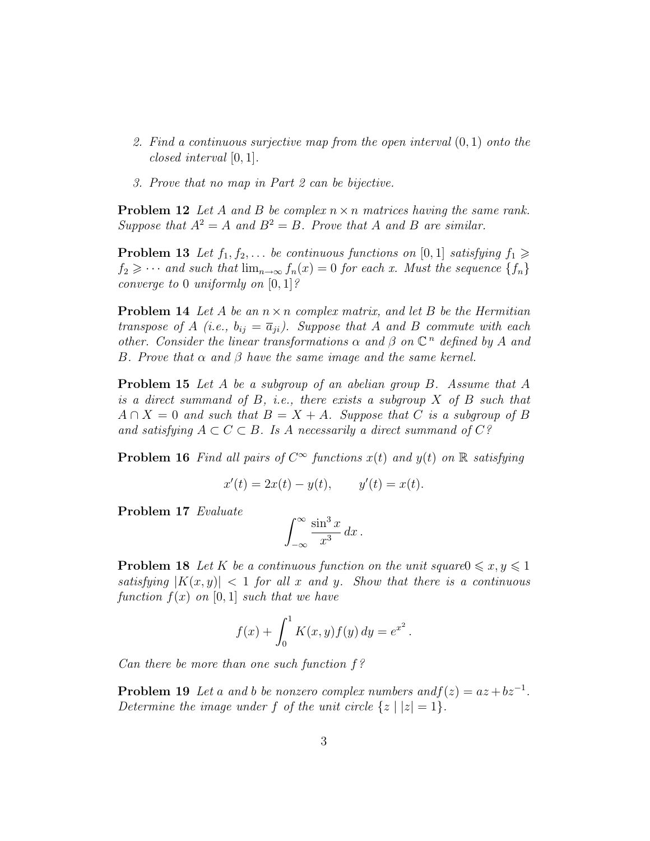- 2. Find a continuous surjective map from the open interval (0, 1) onto the closed interval [0, 1].
- 3. Prove that no map in Part 2 can be bijective.

**Problem 12** Let A and B be complex  $n \times n$  matrices having the same rank. Suppose that  $A^2 = A$  and  $B^2 = B$ . Prove that A and B are similar.

**Problem 13** Let  $f_1, f_2, \ldots$  be continuous functions on [0, 1] satisfying  $f_1 \geq$  $f_2 \geq \cdots$  and such that  $\lim_{n\to\infty} f_n(x) = 0$  for each x. Must the sequence  $\{f_n\}$ converge to 0 uniformly on  $[0, 1]$ ?

**Problem 14** Let A be an  $n \times n$  complex matrix, and let B be the Hermitian transpose of A (i.e.,  $b_{ij} = \overline{a}_{ji}$ ). Suppose that A and B commute with each other. Consider the linear transformations  $\alpha$  and  $\beta$  on  $\mathbb{C}^n$  defined by A and B. Prove that  $\alpha$  and  $\beta$  have the same image and the same kernel.

Problem 15 Let A be a subgroup of an abelian group B. Assume that A is a direct summand of  $B$ , i.e., there exists a subgroup  $X$  of  $B$  such that  $A \cap X = 0$  and such that  $B = X + A$ . Suppose that C is a subgroup of B and satisfying  $A \subset C \subset B$ . Is A necessarily a direct summand of  $C$ ?

**Problem 16** Find all pairs of  $C^{\infty}$  functions  $x(t)$  and  $y(t)$  on  $\mathbb{R}$  satisfying

$$
x'(t) = 2x(t) - y(t), \t y'(t) = x(t).
$$

Problem 17 Evaluate

$$
\int_{-\infty}^{\infty} \frac{\sin^3 x}{x^3} \, dx \, .
$$

**Problem 18** Let K be a continuous function on the unit square  $0 \leq x, y \leq 1$ satisfying  $|K(x, y)| < 1$  for all x and y. Show that there is a continuous function  $f(x)$  on [0, 1] such that we have

$$
f(x) + \int_0^1 K(x, y) f(y) dy = e^{x^2}.
$$

Can there be more than one such function  $f$ ?

**Problem 19** Let a and b be nonzero complex numbers and  $f(z) = az + bz^{-1}$ . Determine the image under f of the unit circle  $\{z \mid |z|=1\}$ .